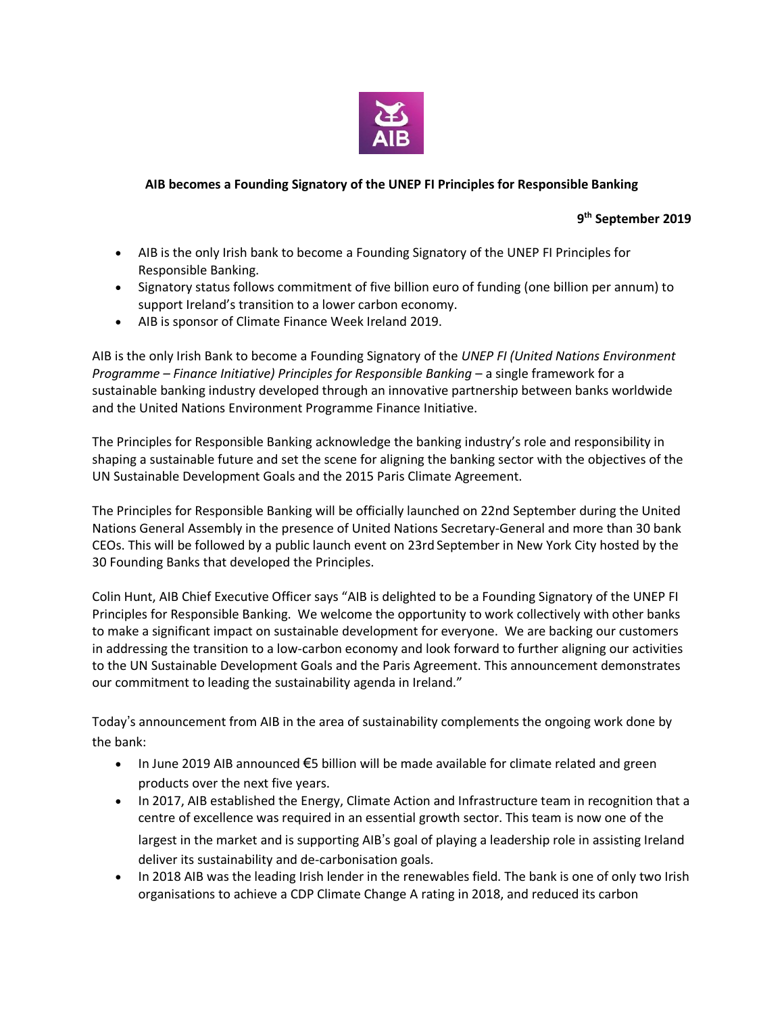

## **AIB becomes a Founding Signatory of the UNEP FI Principles for Responsible Banking**

**9 th September 2019**

- AIB is the only Irish bank to become a Founding Signatory of the UNEP FI Principles for Responsible Banking.
- Signatory status follows commitment of five billion euro of funding (one billion per annum) to support Ireland's transition to a lower carbon economy.
- AIB is sponsor of Climate Finance Week Ireland 2019.

AIB is the only Irish Bank to become a Founding Signatory of the *UNEP FI (United Nations Environment Programme – Finance Initiative) Principles for Responsible Banking* – a single framework for a sustainable banking industry developed through an innovative partnership between banks worldwide and the United Nations Environment Programme Finance Initiative.

The Principles for Responsible Banking acknowledge the banking industry's role and responsibility in shaping a sustainable future and set the scene for aligning the banking sector with the objectives of the UN Sustainable Development Goals and the 2015 Paris Climate Agreement.

The Principles for Responsible Banking will be officially launched on 22nd September during the United Nations General Assembly in the presence of United Nations Secretary-General and more than 30 bank CEOs. This will be followed by a public launch event on 23rd September in New York City hosted by the 30 Founding Banks that developed the Principles.

Colin Hunt, AIB Chief Executive Officer says "AIB is delighted to be a Founding Signatory of the UNEP FI Principles for Responsible Banking. We welcome the opportunity to work collectively with other banks to make a significant impact on sustainable development for everyone. We are backing our customers in addressing the transition to a low-carbon economy and look forward to further aligning our activities to the UN Sustainable Development Goals and the Paris Agreement. This announcement demonstrates our commitment to leading the sustainability agenda in Ireland."

Today's announcement from AIB in the area of sustainability complements the ongoing work done by the bank:

- In June 2019 AIB announced €5 billion will be made available for climate related and green products over the next five years.
- In 2017, AIB established the Energy, Climate Action and Infrastructure team in recognition that a centre of excellence was required in an essential growth sector. This team is now one of the largest in the market and is supporting AIB's goal of playing a leadership role in assisting Ireland deliver its sustainability and de-carbonisation goals.
- In 2018 AIB was the leading Irish lender in the renewables field. The bank is one of only two Irish organisations to achieve a CDP Climate Change A rating in 2018, and reduced its carbon